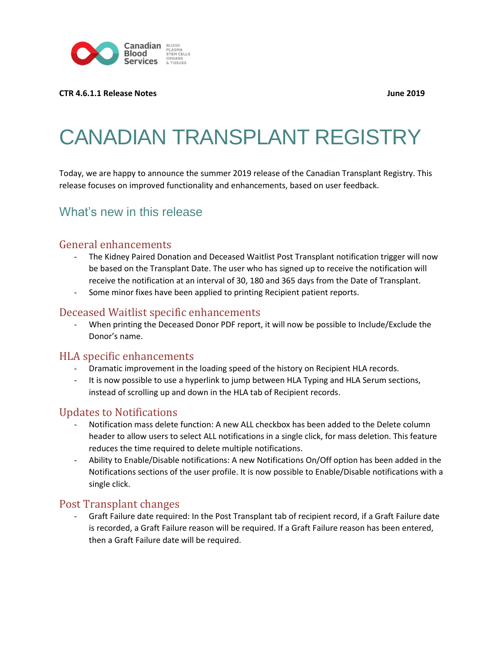

#### **CTR 4.6.1.1 Release Notes June 2019**

# CANADIAN TRANSPLANT REGISTRY

Today, we are happy to announce the summer 2019 release of the Canadian Transplant Registry. This release focuses on improved functionality and enhancements, based on user feedback.

## What's new in this release

#### General enhancements

- The Kidney Paired Donation and Deceased Waitlist Post Transplant notification trigger will now be based on the Transplant Date. The user who has signed up to receive the notification will receive the notification at an interval of 30, 180 and 365 days from the Date of Transplant.
- Some minor fixes have been applied to printing Recipient patient reports.

#### Deceased Waitlist specific enhancements

When printing the Deceased Donor PDF report, it will now be possible to Include/Exclude the Donor's name.

#### HLA specific enhancements

- Dramatic improvement in the loading speed of the history on Recipient HLA records.
- It is now possible to use a hyperlink to jump between HLA Typing and HLA Serum sections, instead of scrolling up and down in the HLA tab of Recipient records.

#### Updates to Notifications

- Notification mass delete function: A new ALL checkbox has been added to the Delete column header to allow users to select ALL notifications in a single click, for mass deletion. This feature reduces the time required to delete multiple notifications.
- Ability to Enable/Disable notifications: A new Notifications On/Off option has been added in the Notifications sections of the user profile. It is now possible to Enable/Disable notifications with a single click.

#### Post Transplant changes

- Graft Failure date required: In the Post Transplant tab of recipient record, if a Graft Failure date is recorded, a Graft Failure reason will be required. If a Graft Failure reason has been entered, then a Graft Failure date will be required.